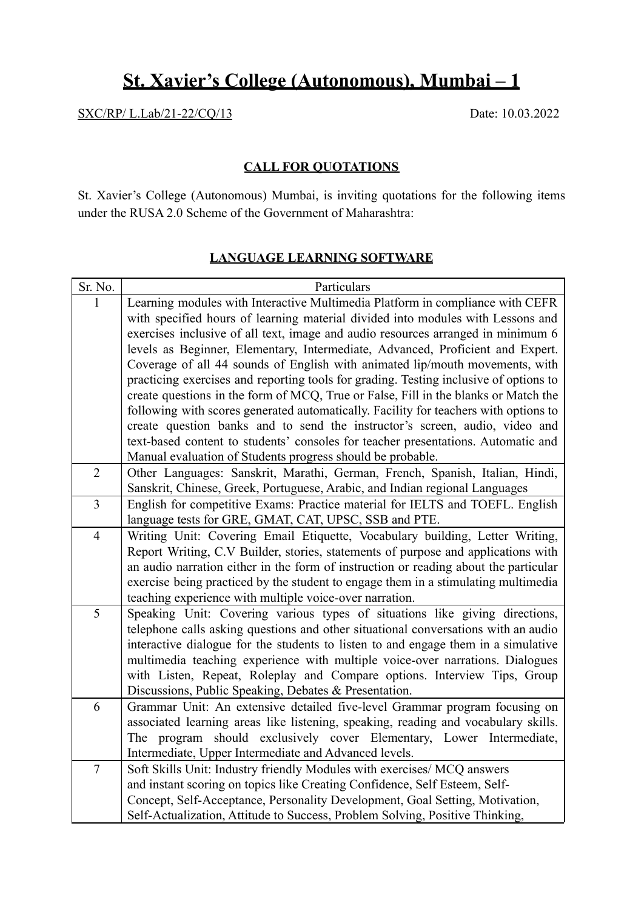## **St. Xavier's College (Autonomous), Mumbai – 1**

SXC/RP/ L.Lab/21-22/CQ/13 Date: 10.03.2022

## **CALL FOR QUOTATIONS**

St. Xavier's College (Autonomous) Mumbai, is inviting quotations for the following items under the RUSA 2.0 Scheme of the Government of Maharashtra:

## **LANGUAGE LEARNING SOFTWARE**

| Sr. No.        | Particulars                                                                           |
|----------------|---------------------------------------------------------------------------------------|
| 1              | Learning modules with Interactive Multimedia Platform in compliance with CEFR         |
|                | with specified hours of learning material divided into modules with Lessons and       |
|                | exercises inclusive of all text, image and audio resources arranged in minimum 6      |
|                | levels as Beginner, Elementary, Intermediate, Advanced, Proficient and Expert.        |
|                | Coverage of all 44 sounds of English with animated lip/mouth movements, with          |
|                | practicing exercises and reporting tools for grading. Testing inclusive of options to |
|                | create questions in the form of MCQ, True or False, Fill in the blanks or Match the   |
|                | following with scores generated automatically. Facility for teachers with options to  |
|                | create question banks and to send the instructor's screen, audio, video and           |
|                | text-based content to students' consoles for teacher presentations. Automatic and     |
|                | Manual evaluation of Students progress should be probable.                            |
| $\overline{2}$ | Other Languages: Sanskrit, Marathi, German, French, Spanish, Italian, Hindi,          |
|                | Sanskrit, Chinese, Greek, Portuguese, Arabic, and Indian regional Languages           |
| $\overline{3}$ | English for competitive Exams: Practice material for IELTS and TOEFL. English         |
|                | language tests for GRE, GMAT, CAT, UPSC, SSB and PTE.                                 |
| $\overline{4}$ | Writing Unit: Covering Email Etiquette, Vocabulary building, Letter Writing,          |
|                | Report Writing, C.V Builder, stories, statements of purpose and applications with     |
|                | an audio narration either in the form of instruction or reading about the particular  |
|                | exercise being practiced by the student to engage them in a stimulating multimedia    |
|                | teaching experience with multiple voice-over narration.                               |
| 5              | Speaking Unit: Covering various types of situations like giving directions,           |
|                | telephone calls asking questions and other situational conversations with an audio    |
|                | interactive dialogue for the students to listen to and engage them in a simulative    |
|                | multimedia teaching experience with multiple voice-over narrations. Dialogues         |
|                | with Listen, Repeat, Roleplay and Compare options. Interview Tips, Group              |
|                | Discussions, Public Speaking, Debates & Presentation.                                 |
| 6              | Grammar Unit: An extensive detailed five-level Grammar program focusing on            |
|                | associated learning areas like listening, speaking, reading and vocabulary skills.    |
|                | The program should exclusively cover Elementary, Lower Intermediate,                  |
|                | Intermediate, Upper Intermediate and Advanced levels.                                 |
| $\overline{7}$ | Soft Skills Unit: Industry friendly Modules with exercises/ MCQ answers               |
|                | and instant scoring on topics like Creating Confidence, Self Esteem, Self-            |
|                | Concept, Self-Acceptance, Personality Development, Goal Setting, Motivation,          |
|                | Self-Actualization, Attitude to Success, Problem Solving, Positive Thinking,          |